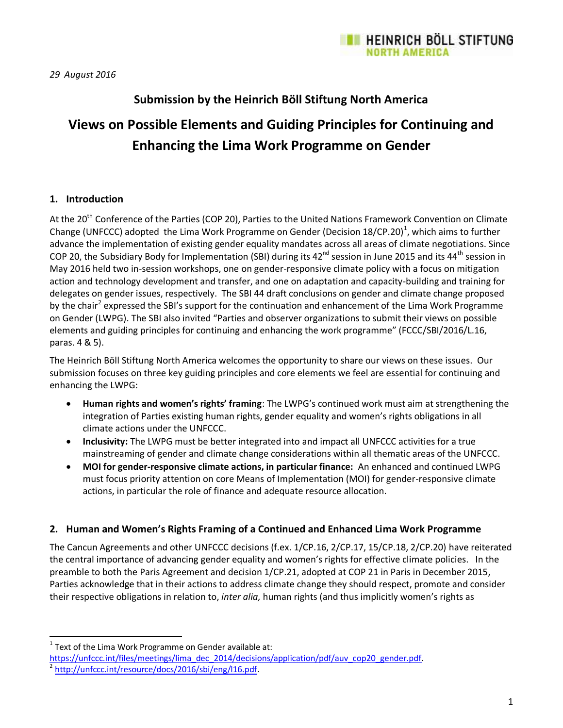# **Submission by the Heinrich Böll Stiftung North America**

# **Views on Possible Elements and Guiding Principles for Continuing and Enhancing the Lima Work Programme on Gender**

# **1. Introduction**

At the 20<sup>th</sup> Conference of the Parties (COP 20), Parties to the United Nations Framework Convention on Climate Change (UNFCCC) adopted the Lima Work Programme on Gender (Decision 18/CP.20)<sup>1</sup>, which aims to further advance the implementation of existing gender equality mandates across all areas of climate negotiations. Since COP 20, the Subsidiary Body for Implementation (SBI) during its  $42^{nd}$  session in June 2015 and its  $44^{th}$  session in May 2016 held two in-session workshops, one on gender-responsive climate policy with a focus on mitigation action and technology development and transfer, and one on adaptation and capacity-building and training for delegates on gender issues, respectively. The SBI 44 draft conclusions on gender and climate change proposed by the chair<sup>2</sup> expressed the SBI's support for the continuation and enhancement of the Lima Work Programme on Gender (LWPG). The SBI also invited "Parties and observer organizations to submit their views on possible elements and guiding principles for continuing and enhancing the work programme" (FCCC/SBI/2016/L.16, paras. 4 & 5).

The Heinrich Böll Stiftung North America welcomes the opportunity to share our views on these issues. Our submission focuses on three key guiding principles and core elements we feel are essential for continuing and enhancing the LWPG:

- **Human rights and women's rights' framing**: The LWPG's continued work must aim at strengthening the integration of Parties existing human rights, gender equality and women's rights obligations in all climate actions under the UNFCCC.
- **Inclusivity:** The LWPG must be better integrated into and impact all UNFCCC activities for a true mainstreaming of gender and climate change considerations within all thematic areas of the UNFCCC.
- **MOI for gender-responsive climate actions, in particular finance:** An enhanced and continued LWPG must focus priority attention on core Means of Implementation (MOI) for gender-responsive climate actions, in particular the role of finance and adequate resource allocation.

# **2. Human and Women's Rights Framing of a Continued and Enhanced Lima Work Programme**

The Cancun Agreements and other UNFCCC decisions (f.ex. 1/CP.16, 2/CP.17, 15/CP.18, 2/CP.20) have reiterated the central importance of advancing gender equality and women's rights for effective climate policies. In the preamble to both the Paris Agreement and decision 1/CP.21, adopted at COP 21 in Paris in December 2015, Parties acknowledge that in their actions to address climate change they should respect, promote and consider their respective obligations in relation to, *inter alia,* human rights (and thus implicitly women's rights as

 $1$  Text of the Lima Work Programme on Gender available at:

[https://unfccc.int/files/meetings/lima\\_dec\\_2014/decisions/application/pdf/auv\\_cop20\\_gender.pdf.](https://unfccc.int/files/meetings/lima_dec_2014/decisions/application/pdf/auv_cop20_gender.pdf) 2 [http://unfccc.int/resource/docs/2016/sbi/eng/l16.pdf.](http://unfccc.int/resource/docs/2016/sbi/eng/l16.pdf)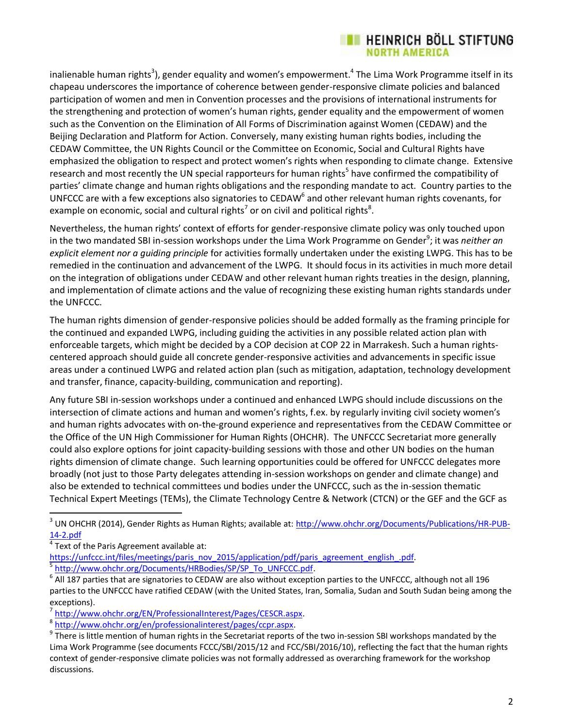# **EXECUTE IN HEINRICH BÖLL STIFTUNG NORTH AMERICA**

inalienable human rights<sup>3</sup>), gender equality and women's empowerment.<sup>4</sup> The Lima Work Programme itself in its chapeau underscores the importance of coherence between gender-responsive climate policies and balanced participation of women and men in Convention processes and the provisions of international instruments for the strengthening and protection of women's human rights, gender equality and the empowerment of women such as the Convention on the Elimination of All Forms of Discrimination against Women (CEDAW) and the Beijing Declaration and Platform for Action. Conversely, many existing human rights bodies, including the CEDAW Committee, the UN Rights Council or the Committee on Economic, Social and Cultural Rights have emphasized the obligation to respect and protect women's rights when responding to climate change. Extensive research and most recently the UN special rapporteurs for human rights<sup>5</sup> have confirmed the compatibility of parties' climate change and human rights obligations and the responding mandate to act. Country parties to the UNFCCC are with a few exceptions also signatories to CEDAW<sup>6</sup> and other relevant human rights covenants, for example on economic, social and cultural rights<sup>7</sup> or on civil and political rights<sup>8</sup>.

Nevertheless, the human rights' context of efforts for gender-responsive climate policy was only touched upon in the two mandated SBI in-session workshops under the Lima Work Programme on Gender<sup>9</sup>; it was *neither an explicit element nor a guiding principle* for activities formally undertaken under the existing LWPG. This has to be remedied in the continuation and advancement of the LWPG. It should focus in its activities in much more detail on the integration of obligations under CEDAW and other relevant human rights treaties in the design, planning, and implementation of climate actions and the value of recognizing these existing human rights standards under the UNFCCC.

The human rights dimension of gender-responsive policies should be added formally as the framing principle for the continued and expanded LWPG, including guiding the activities in any possible related action plan with enforceable targets, which might be decided by a COP decision at COP 22 in Marrakesh. Such a human rightscentered approach should guide all concrete gender-responsive activities and advancements in specific issue areas under a continued LWPG and related action plan (such as mitigation, adaptation, technology development and transfer, finance, capacity-building, communication and reporting).

Any future SBI in-session workshops under a continued and enhanced LWPG should include discussions on the intersection of climate actions and human and women's rights, f.ex. by regularly inviting civil society women's and human rights advocates with on-the-ground experience and representatives from the CEDAW Committee or the Office of the UN High Commissioner for Human Rights (OHCHR). The UNFCCC Secretariat more generally could also explore options for joint capacity-building sessions with those and other UN bodies on the human rights dimension of climate change. Such learning opportunities could be offered for UNFCCC delegates more broadly (not just to those Party delegates attending in-session workshops on gender and climate change) and also be extended to technical committees und bodies under the UNFCCC, such as the in-session thematic Technical Expert Meetings (TEMs), the Climate Technology Centre & Network (CTCN) or the GEF and the GCF as

<sup>&</sup>lt;sup>3</sup> UN OHCHR (2014), Gender Rights as Human Rights; available at[: http://www.ohchr.org/Documents/Publications/HR-PUB-](http://www.ohchr.org/Documents/Publications/HR-PUB-14-2.pdf)[14-2.pdf](http://www.ohchr.org/Documents/Publications/HR-PUB-14-2.pdf)

<sup>&</sup>lt;sup>4</sup> Text of the Paris Agreement available at:

[https://unfccc.int/files/meetings/paris\\_nov\\_2015/application/pdf/paris\\_agreement\\_english\\_.pdf.](https://unfccc.int/files/meetings/paris_nov_2015/application/pdf/paris_agreement_english_.pdf) 5 [http://www.ohchr.org/Documents/HRBodies/SP/SP\\_To\\_UNFCCC.pdf.](http://www.ohchr.org/Documents/HRBodies/SP/SP_To_UNFCCC.pdf)

 $^6$  All 187 parties that are signatories to CEDAW are also without exception parties to the UNFCCC, although not all 196 parties to the UNFCCC have ratified CEDAW (with the United States, Iran, Somalia, Sudan and South Sudan being among the exceptions).

<sup>&</sup>lt;sup>7</sup> [http://www.ohchr.org/EN/ProfessionalInterest/Pages/CESCR.aspx.](http://www.ohchr.org/EN/ProfessionalInterest/Pages/CESCR.aspx)

<sup>&</sup>lt;sup>8</sup> http://www.ohchr.org/en/professionalinterest/pages/ccpr.aspx.

 $^9$  There is little mention of human rights in the Secretariat reports of the two in-session SBI workshops mandated by the Lima Work Programme (see documents FCCC/SBI/2015/12 and FCC/SBI/2016/10), reflecting the fact that the human rights context of gender-responsive climate policies was not formally addressed as overarching framework for the workshop discussions.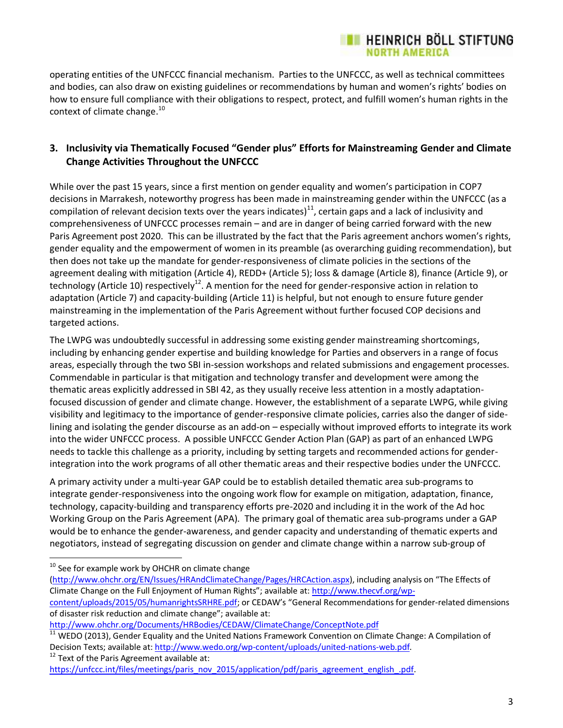operating entities of the UNFCCC financial mechanism. Parties to the UNFCCC, as well as technical committees and bodies, can also draw on existing guidelines or recommendations by human and women's rights' bodies on how to ensure full compliance with their obligations to respect, protect, and fulfill women's human rights in the context of climate change.<sup>10</sup>

**EXECUTE IN HEINRICH BÖLL STIFTUNG** 

RTH AMERICA

# **3. Inclusivity via Thematically Focused "Gender plus" Efforts for Mainstreaming Gender and Climate Change Activities Throughout the UNFCCC**

While over the past 15 years, since a first mention on gender equality and women's participation in COP7 decisions in Marrakesh, noteworthy progress has been made in mainstreaming gender within the UNFCCC (as a compilation of relevant decision texts over the years indicates) $^{11}$ , certain gaps and a lack of inclusivity and comprehensiveness of UNFCCC processes remain – and are in danger of being carried forward with the new Paris Agreement post 2020. This can be illustrated by the fact that the Paris agreement anchors women's rights, gender equality and the empowerment of women in its preamble (as overarching guiding recommendation), but then does not take up the mandate for gender-responsiveness of climate policies in the sections of the agreement dealing with mitigation (Article 4), REDD+ (Article 5); loss & damage (Article 8), finance (Article 9), or technology (Article 10) respectively<sup>12</sup>. A mention for the need for gender-responsive action in relation to adaptation (Article 7) and capacity-building (Article 11) is helpful, but not enough to ensure future gender mainstreaming in the implementation of the Paris Agreement without further focused COP decisions and targeted actions.

The LWPG was undoubtedly successful in addressing some existing gender mainstreaming shortcomings, including by enhancing gender expertise and building knowledge for Parties and observers in a range of focus areas, especially through the two SBI in-session workshops and related submissions and engagement processes. Commendable in particular is that mitigation and technology transfer and development were among the thematic areas explicitly addressed in SBI 42, as they usually receive less attention in a mostly adaptationfocused discussion of gender and climate change. However, the establishment of a separate LWPG, while giving visibility and legitimacy to the importance of gender-responsive climate policies, carries also the danger of sidelining and isolating the gender discourse as an add-on – especially without improved efforts to integrate its work into the wider UNFCCC process. A possible UNFCCC Gender Action Plan (GAP) as part of an enhanced LWPG needs to tackle this challenge as a priority, including by setting targets and recommended actions for genderintegration into the work programs of all other thematic areas and their respective bodies under the UNFCCC.

A primary activity under a multi-year GAP could be to establish detailed thematic area sub-programs to integrate gender-responsiveness into the ongoing work flow for example on mitigation, adaptation, finance, technology, capacity-building and transparency efforts pre-2020 and including it in the work of the Ad hoc Working Group on the Paris Agreement (APA). The primary goal of thematic area sub-programs under a GAP would be to enhance the gender-awareness, and gender capacity and understanding of thematic experts and negotiators, instead of segregating discussion on gender and climate change within a narrow sub-group of

 $^{10}$  See for example work by OHCHR on climate change

[\(http://www.ohchr.org/EN/Issues/HRAndClimateChange/Pages/HRCAction.aspx](http://www.ohchr.org/EN/Issues/HRAndClimateChange/Pages/HRCAction.aspx)), including analysis on "The Effects of Climate Change on the Full Enjoyment of Human Rights"; available at: [http://www.thecvf.org/wp](http://www.thecvf.org/wp-content/uploads/2015/05/humanrightsSRHRE.pdf)[content/uploads/2015/05/humanrightsSRHRE.pdf](http://www.thecvf.org/wp-content/uploads/2015/05/humanrightsSRHRE.pdf); or CEDAW's "General Recommendations for gender-related dimensions of disaster risk reduction and climate change"; available at:

<http://www.ohchr.org/Documents/HRBodies/CEDAW/ClimateChange/ConceptNote.pdf>

 $\frac{11}{11}$  WEDO (2013), Gender Equality and the United Nations Framework Convention on Climate Change: A Compilation of Decision Texts; available at[: http://www.wedo.org/wp-content/uploads/united-nations-web.pdf.](http://www.wedo.org/wp-content/uploads/united-nations-web.pdf)

 $12$  Text of the Paris Agreement available at:

[https://unfccc.int/files/meetings/paris\\_nov\\_2015/application/pdf/paris\\_agreement\\_english\\_.pdf.](https://unfccc.int/files/meetings/paris_nov_2015/application/pdf/paris_agreement_english_.pdf)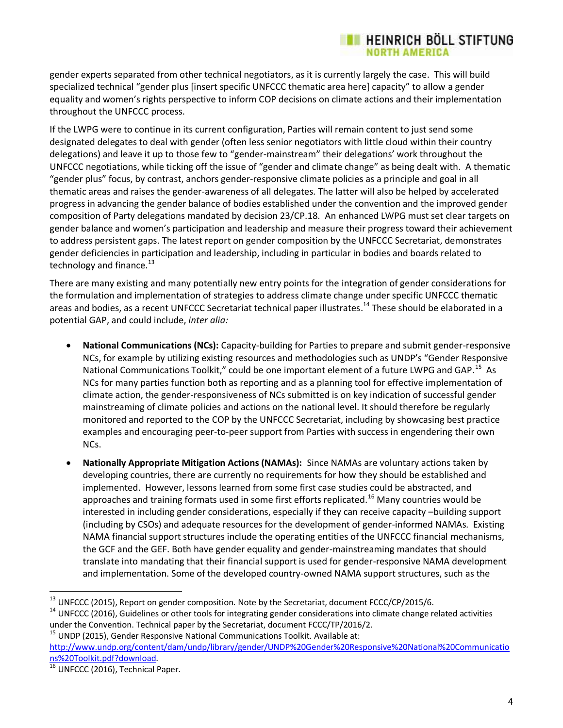# gender experts separated from other technical negotiators, as it is currently largely the case. This will build specialized technical "gender plus [insert specific UNFCCC thematic area here] capacity" to allow a gender equality and women's rights perspective to inform COP decisions on climate actions and their implementation throughout the UNFCCC process.

**EXECUTE IN HEINRICH BÖLL STIFTUNG** 

NORTH AMERICA

If the LWPG were to continue in its current configuration, Parties will remain content to just send some designated delegates to deal with gender (often less senior negotiators with little cloud within their country delegations) and leave it up to those few to "gender-mainstream" their delegations' work throughout the UNFCCC negotiations, while ticking off the issue of "gender and climate change" as being dealt with. A thematic "gender plus" focus, by contrast, anchors gender-responsive climate policies as a principle and goal in all thematic areas and raises the gender-awareness of all delegates. The latter will also be helped by accelerated progress in advancing the gender balance of bodies established under the convention and the improved gender composition of Party delegations mandated by decision 23/CP.18. An enhanced LWPG must set clear targets on gender balance and women's participation and leadership and measure their progress toward their achievement to address persistent gaps. The latest report on gender composition by the UNFCCC Secretariat, demonstrates gender deficiencies in participation and leadership, including in particular in bodies and boards related to technology and finance. $^{13}$ 

There are many existing and many potentially new entry points for the integration of gender considerations for the formulation and implementation of strategies to address climate change under specific UNFCCC thematic areas and bodies, as a recent UNFCCC Secretariat technical paper illustrates.<sup>14</sup> These should be elaborated in a potential GAP, and could include, *inter alia:*

- **National Communications (NCs):** Capacity-building for Parties to prepare and submit gender-responsive NCs, for example by utilizing existing resources and methodologies such as UNDP's "Gender Responsive National Communications Toolkit," could be one important element of a future LWPG and GAP.<sup>15</sup> As NCs for many parties function both as reporting and as a planning tool for effective implementation of climate action, the gender-responsiveness of NCs submitted is on key indication of successful gender mainstreaming of climate policies and actions on the national level. It should therefore be regularly monitored and reported to the COP by the UNFCCC Secretariat, including by showcasing best practice examples and encouraging peer-to-peer support from Parties with success in engendering their own NCs.
- **Nationally Appropriate Mitigation Actions (NAMAs):** Since NAMAs are voluntary actions taken by developing countries, there are currently no requirements for how they should be established and implemented. However, lessons learned from some first case studies could be abstracted, and approaches and training formats used in some first efforts replicated.<sup>16</sup> Many countries would be interested in including gender considerations, especially if they can receive capacity –building support (including by CSOs) and adequate resources for the development of gender-informed NAMAs. Existing NAMA financial support structures include the operating entities of the UNFCCC financial mechanisms, the GCF and the GEF. Both have gender equality and gender-mainstreaming mandates that should translate into mandating that their financial support is used for gender-responsive NAMA development and implementation. Some of the developed country-owned NAMA support structures, such as the

<sup>15</sup> UNDP (2015), Gender Responsive National Communications Toolkit. Available at: [http://www.undp.org/content/dam/undp/library/gender/UNDP%20Gender%20Responsive%20National%20Communicatio](http://www.undp.org/content/dam/undp/library/gender/UNDP%20Gender%20Responsive%20National%20Communications%20Toolkit.pdf?download) [ns%20Toolkit.pdf?download.](http://www.undp.org/content/dam/undp/library/gender/UNDP%20Gender%20Responsive%20National%20Communications%20Toolkit.pdf?download)

 $^{13}$  UNFCCC (2015), Report on gender composition. Note by the Secretariat, document FCCC/CP/2015/6.

 $14$  UNFCCC (2016), Guidelines or other tools for integrating gender considerations into climate change related activities under the Convention. Technical paper by the Secretariat, document FCCC/TP/2016/2.

<sup>&</sup>lt;sup>16</sup> UNFCCC (2016), Technical Paper.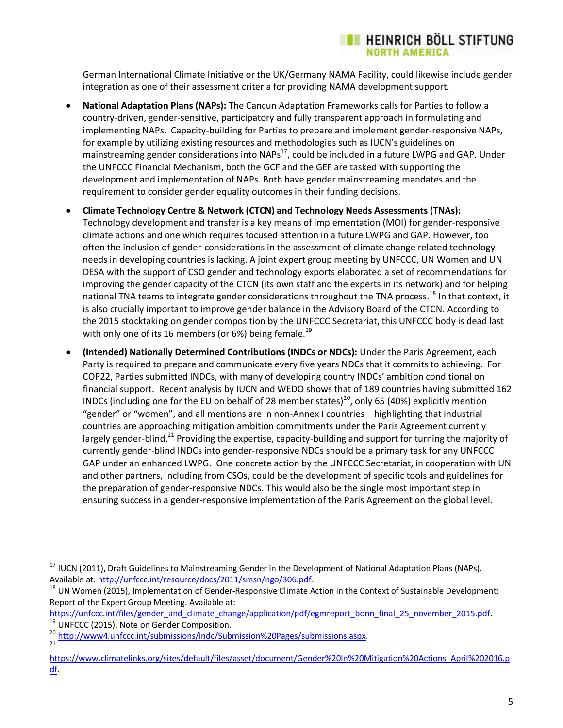# **IN HEINRICH BÖLL STIFTUNG**

German International Climate Initiative or the UK/Germany NAMA Facility, could likewise include gender integration as one of their assessment criteria for providing NAMA development support.

- **National Adaptation Plans (NAPs):** The Cancun Adaptation Frameworks calls for Parties to follow a country-driven, gender-sensitive, participatory and fully transparent approach in formulating and implementing NAPs. Capacity-building for Parties to prepare and implement gender-responsive NAPs, for example by utilizing existing resources and methodologies such as IUCN's guidelines on mainstreaming gender considerations into  $NAPs<sup>17</sup>$ , could be included in a future LWPG and GAP. Under the UNFCCC Financial Mechanism, both the GCF and the GEF are tasked with supporting the development and implementation of NAPs. Both have gender mainstreaming mandates and the requirement to consider gender equality outcomes in their funding decisions.
- **Climate Technology Centre & Network (CTCN) and Technology Needs Assessments (TNAs):**  Technology development and transfer is a key means of implementation (MOI) for gender-responsive climate actions and one which requires focused attention in a future LWPG and GAP. However, too often the inclusion of gender-considerations in the assessment of climate change related technology needs in developing countries is lacking. A joint expert group meeting by UNFCCC, UN Women and UN DESA with the support of CSO gender and technology exports elaborated a set of recommendations for improving the gender capacity of the CTCN (its own staff and the experts in its network) and for helping national TNA teams to integrate gender considerations throughout the TNA process.<sup>18</sup> In that context, it is also crucially important to improve gender balance in the Advisory Board of the CTCN. According to the 2015 stocktaking on gender composition by the UNFCCC Secretariat, this UNFCCC body is dead last with only one of its 16 members (or  $6\%$ ) being female.<sup>19</sup>
- **(Intended) Nationally Determined Contributions (INDCs or NDCs):** Under the Paris Agreement, each Party is required to prepare and communicate every five years NDCs that it commits to achieving. For COP22, Parties submitted INDCs, with many of developing country INDCs' ambition conditional on financial support. Recent analysis by IUCN and WEDO shows that of 189 countries having submitted 162 INDCs (including one for the EU on behalf of 28 member states)<sup>20</sup>, only 65 (40%) explicitly mention "gender" or "women", and all mentions are in non-Annex I countries – highlighting that industrial countries are approaching mitigation ambition commitments under the Paris Agreement currently largely gender-blind.<sup>21</sup> Providing the expertise, capacity-building and support for turning the majority of currently gender-blind INDCs into gender-responsive NDCs should be a primary task for any UNFCCC GAP under an enhanced LWPG. One concrete action by the UNFCCC Secretariat, in cooperation with UN and other partners, including from CSOs, could be the development of specific tools and guidelines for the preparation of gender-responsive NDCs. This would also be the single most important step in ensuring success in a gender-responsive implementation of the Paris Agreement on the global level.

 $^{17}$  IUCN (2011), Draft Guidelines to Mainstreaming Gender in the Development of National Adaptation Plans (NAPs). Available at: [http://unfccc.int/resource/docs/2011/smsn/ngo/306.pdf.](http://unfccc.int/resource/docs/2011/smsn/ngo/306.pdf)

<sup>&</sup>lt;sup>18</sup> UN Women (2015), Implementation of Gender-Responsive Climate Action in the Context of Sustainable Development: Report of the Expert Group Meeting. Available at:

[https://unfccc.int/files/gender\\_and\\_climate\\_change/application/pdf/egmreport\\_bonn\\_final\\_25\\_november\\_2015.pdf.](https://unfccc.int/files/gender_and_climate_change/application/pdf/egmreport_bonn_final_25_november_2015.pdf)

<sup>&</sup>lt;sup>19</sup> UNFCCC (2015), Note on Gender Composition.

<sup>&</sup>lt;sup>20</sup> [http://www4.unfccc.int/submissions/indc/Submission%20Pages/submissions.aspx.](http://www4.unfccc.int/submissions/indc/Submission%20Pages/submissions.aspx) 21

[https://www.climatelinks.org/sites/default/files/asset/document/Gender%20In%20Mitigation%20Actions\\_April%202016.p](https://www.climatelinks.org/sites/default/files/asset/document/Gender%20In%20Mitigation%20Actions_April%202016.pdf) [df.](https://www.climatelinks.org/sites/default/files/asset/document/Gender%20In%20Mitigation%20Actions_April%202016.pdf)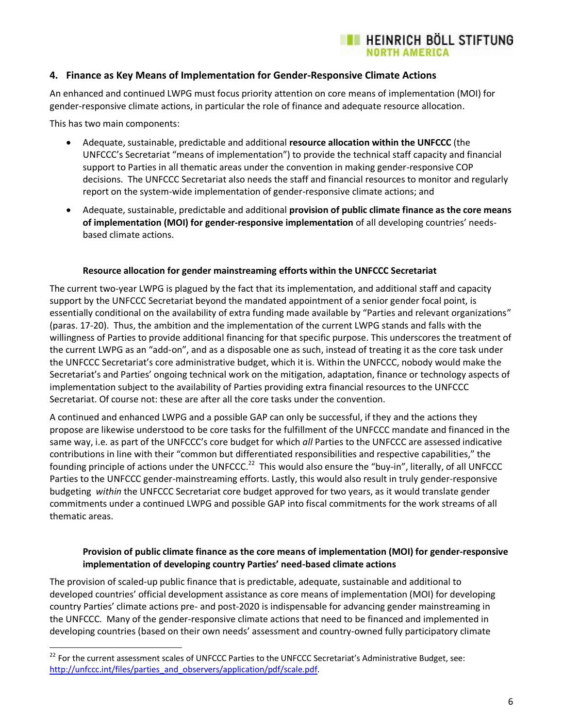# **4. Finance as Key Means of Implementation for Gender-Responsive Climate Actions**

An enhanced and continued LWPG must focus priority attention on core means of implementation (MOI) for gender-responsive climate actions, in particular the role of finance and adequate resource allocation.

This has two main components:

 $\overline{\phantom{a}}$ 

 Adequate, sustainable, predictable and additional **resource allocation within the UNFCCC** (the UNFCCC's Secretariat "means of implementation") to provide the technical staff capacity and financial support to Parties in all thematic areas under the convention in making gender-responsive COP decisions. The UNFCCC Secretariat also needs the staff and financial resources to monitor and regularly report on the system-wide implementation of gender-responsive climate actions; and

**EXECUTE IN HEINRICH BÖLL STIFTUNG** 

NORTH AMERICA

 Adequate, sustainable, predictable and additional **provision of public climate finance as the core means of implementation (MOI) for gender-responsive implementation** of all developing countries' needsbased climate actions.

### **Resource allocation for gender mainstreaming efforts within the UNFCCC Secretariat**

The current two-year LWPG is plagued by the fact that its implementation, and additional staff and capacity support by the UNFCCC Secretariat beyond the mandated appointment of a senior gender focal point, is essentially conditional on the availability of extra funding made available by "Parties and relevant organizations" (paras. 17-20). Thus, the ambition and the implementation of the current LWPG stands and falls with the willingness of Parties to provide additional financing for that specific purpose. This underscores the treatment of the current LWPG as an "add-on", and as a disposable one as such, instead of treating it as the core task under the UNFCCC Secretariat's core administrative budget, which it is. Within the UNFCCC, nobody would make the Secretariat's and Parties' ongoing technical work on the mitigation, adaptation, finance or technology aspects of implementation subject to the availability of Parties providing extra financial resources to the UNFCCC Secretariat. Of course not: these are after all the core tasks under the convention.

A continued and enhanced LWPG and a possible GAP can only be successful, if they and the actions they propose are likewise understood to be core tasks for the fulfillment of the UNFCCC mandate and financed in the same way, i.e. as part of the UNFCCC's core budget for which *all* Parties to the UNFCCC are assessed indicative contributions in line with their "common but differentiated responsibilities and respective capabilities," the founding principle of actions under the UNFCCC.<sup>22</sup> This would also ensure the "buy-in", literally, of all UNFCCC Parties to the UNFCCC gender-mainstreaming efforts. Lastly, this would also result in truly gender-responsive budgeting *within* the UNFCCC Secretariat core budget approved for two years, as it would translate gender commitments under a continued LWPG and possible GAP into fiscal commitments for the work streams of all thematic areas.

### **Provision of public climate finance as the core means of implementation (MOI) for gender-responsive implementation of developing country Parties' need-based climate actions**

The provision of scaled-up public finance that is predictable, adequate, sustainable and additional to developed countries' official development assistance as core means of implementation (MOI) for developing country Parties' climate actions pre- and post-2020 is indispensable for advancing gender mainstreaming in the UNFCCC. Many of the gender-responsive climate actions that need to be financed and implemented in developing countries (based on their own needs' assessment and country-owned fully participatory climate

<sup>&</sup>lt;sup>22</sup> For the current assessment scales of UNFCCC Parties to the UNFCCC Secretariat's Administrative Budget, see: [http://unfccc.int/files/parties\\_and\\_observers/application/pdf/scale.pdf.](http://unfccc.int/files/parties_and_observers/application/pdf/scale.pdf)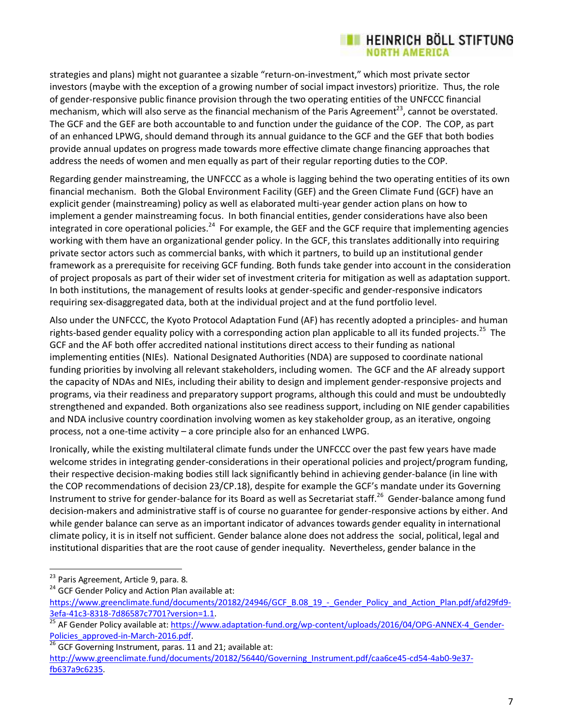# **EXECUTE HEINRICH BÖLL STIFTUNG** NORTH AMERICA

strategies and plans) might not guarantee a sizable "return-on-investment," which most private sector investors (maybe with the exception of a growing number of social impact investors) prioritize. Thus, the role of gender-responsive public finance provision through the two operating entities of the UNFCCC financial mechanism, which will also serve as the financial mechanism of the Paris Agreement<sup>23</sup>, cannot be overstated. The GCF and the GEF are both accountable to and function under the guidance of the COP. The COP, as part of an enhanced LPWG, should demand through its annual guidance to the GCF and the GEF that both bodies provide annual updates on progress made towards more effective climate change financing approaches that address the needs of women and men equally as part of their regular reporting duties to the COP.

Regarding gender mainstreaming, the UNFCCC as a whole is lagging behind the two operating entities of its own financial mechanism. Both the Global Environment Facility (GEF) and the Green Climate Fund (GCF) have an explicit gender (mainstreaming) policy as well as elaborated multi-year gender action plans on how to implement a gender mainstreaming focus. In both financial entities, gender considerations have also been integrated in core operational policies.<sup>24</sup> For example, the GEF and the GCF require that implementing agencies working with them have an organizational gender policy. In the GCF, this translates additionally into requiring private sector actors such as commercial banks, with which it partners, to build up an institutional gender framework as a prerequisite for receiving GCF funding. Both funds take gender into account in the consideration of project proposals as part of their wider set of investment criteria for mitigation as well as adaptation support. In both institutions, the management of results looks at gender-specific and gender-responsive indicators requiring sex-disaggregated data, both at the individual project and at the fund portfolio level.

Also under the UNFCCC, the Kyoto Protocol Adaptation Fund (AF) has recently adopted a principles- and human rights-based gender equality policy with a corresponding action plan applicable to all its funded projects.<sup>25</sup> The GCF and the AF both offer accredited national institutions direct access to their funding as national implementing entities (NIEs). National Designated Authorities (NDA) are supposed to coordinate national funding priorities by involving all relevant stakeholders, including women. The GCF and the AF already support the capacity of NDAs and NIEs, including their ability to design and implement gender-responsive projects and programs, via their readiness and preparatory support programs, although this could and must be undoubtedly strengthened and expanded. Both organizations also see readiness support, including on NIE gender capabilities and NDA inclusive country coordination involving women as key stakeholder group, as an iterative, ongoing process, not a one-time activity – a core principle also for an enhanced LWPG.

Ironically, while the existing multilateral climate funds under the UNFCCC over the past few years have made welcome strides in integrating gender-considerations in their operational policies and project/program funding, their respective decision-making bodies still lack significantly behind in achieving gender-balance (in line with the COP recommendations of decision 23/CP.18), despite for example the GCF's mandate under its Governing Instrument to strive for gender-balance for its Board as well as Secretariat staff.<sup>26</sup> Gender-balance among fund decision-makers and administrative staff is of course no guarantee for gender-responsive actions by either. And while gender balance can serve as an important indicator of advances towards gender equality in international climate policy, it is in itself not sufficient. Gender balance alone does not address the social, political, legal and institutional disparities that are the root cause of gender inequality. Nevertheless, gender balance in the

 $\overline{\phantom{a}}$ 

<sup>24</sup> GCF Gender Policy and Action Plan available at:

<sup>&</sup>lt;sup>23</sup> Paris Agreement, Article 9, para. 8.

[https://www.greenclimate.fund/documents/20182/24946/GCF\\_B.08\\_19\\_-\\_Gender\\_Policy\\_and\\_Action\\_Plan.pdf/afd29fd9-](https://www.greenclimate.fund/documents/20182/24946/GCF_B.08_19_-_Gender_Policy_and_Action_Plan.pdf/afd29fd9-3efa-41c3-8318-7d86587c7701?version=1.1) [3efa-41c3-8318-7d86587c7701?version=1.1.](https://www.greenclimate.fund/documents/20182/24946/GCF_B.08_19_-_Gender_Policy_and_Action_Plan.pdf/afd29fd9-3efa-41c3-8318-7d86587c7701?version=1.1)

<sup>25</sup> AF Gender Policy available at: [https://www.adaptation-fund.org/wp-content/uploads/2016/04/OPG-ANNEX-4\\_Gender-](https://www.adaptation-fund.org/wp-content/uploads/2016/04/OPG-ANNEX-4_Gender-Policies_approved-in-March-2016.pdf)[Policies\\_approved-in-March-2016.pdf.](https://www.adaptation-fund.org/wp-content/uploads/2016/04/OPG-ANNEX-4_Gender-Policies_approved-in-March-2016.pdf)

GCF Governing Instrument, paras. 11 and 21; available at: [http://www.greenclimate.fund/documents/20182/56440/Governing\\_Instrument.pdf/caa6ce45-cd54-4ab0-9e37](http://www.greenclimate.fund/documents/20182/56440/Governing_Instrument.pdf/caa6ce45-cd54-4ab0-9e37-fb637a9c6235) [fb637a9c6235.](http://www.greenclimate.fund/documents/20182/56440/Governing_Instrument.pdf/caa6ce45-cd54-4ab0-9e37-fb637a9c6235)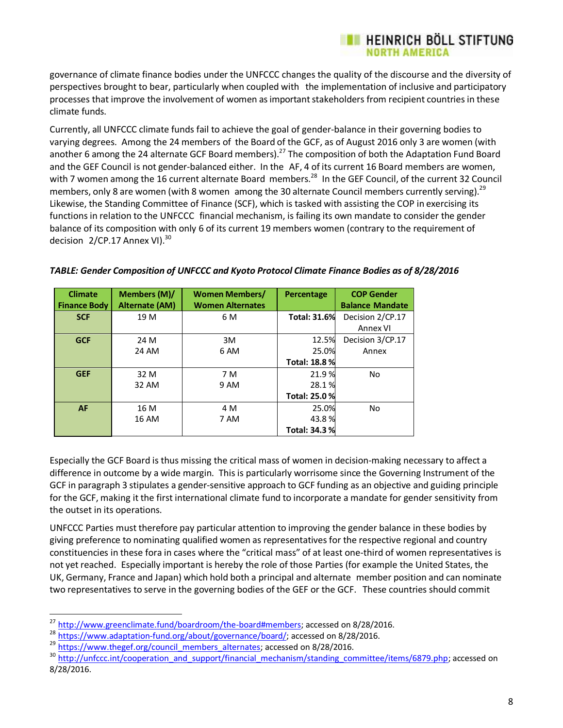governance of climate finance bodies under the UNFCCC changes the quality of the discourse and the diversity of perspectives brought to bear, particularly when coupled with the implementation of inclusive and participatory processes that improve the involvement of women as important stakeholders from recipient countries in these climate funds.

**HEINRICH BÖLL STIFTUNG** 

Currently, all UNFCCC climate funds fail to achieve the goal of gender-balance in their governing bodies to varying degrees. Among the 24 members of the Board of the GCF, as of August 2016 only 3 are women (with another 6 among the 24 alternate GCF Board members).<sup>27</sup> The composition of both the Adaptation Fund Board and the GEF Council is not gender-balanced either. In the AF, 4 of its current 16 Board members are women, with 7 women among the 16 current alternate Board members.<sup>28</sup> In the GEF Council, of the current 32 Council members, only 8 are women (with 8 women among the 30 alternate Council members currently serving).<sup>29</sup> Likewise, the Standing Committee of Finance (SCF), which is tasked with assisting the COP in exercising its functions in relation to the UNFCCC financial mechanism, is failing its own mandate to consider the gender balance of its composition with only 6 of its current 19 members women (contrary to the requirement of decision 2/CP.17 Annex VI).<sup>30</sup>

| <b>Climate</b><br><b>Finance Body</b> | Members (M)/<br><b>Alternate (AM)</b> | <b>Women Members/</b><br><b>Women Alternates</b> | Percentage          | <b>COP Gender</b><br><b>Balance Mandate</b> |
|---------------------------------------|---------------------------------------|--------------------------------------------------|---------------------|---------------------------------------------|
| <b>SCF</b>                            | 19 M                                  | 6 M                                              | <b>Total: 31.6%</b> | Decision 2/CP.17                            |
|                                       |                                       |                                                  |                     | Annex VI                                    |
| <b>GCF</b>                            | 24 M                                  | 3M                                               | 12.5%               | Decision 3/CP.17                            |
|                                       | 24 AM                                 | 6 AM                                             | 25.0%               | Annex                                       |
|                                       |                                       |                                                  | Total: 18.8 %       |                                             |
| <b>GEF</b>                            | 32 M                                  | 7 M                                              | 21.9%               | No.                                         |
|                                       | 32 AM                                 | 9 AM                                             | 28.1%               |                                             |
|                                       |                                       |                                                  | Total: 25.0 %       |                                             |
| <b>AF</b>                             | 16 M                                  | 4 M                                              | 25.0%               | No.                                         |
|                                       | 16 AM                                 | 7 AM                                             | 43.8%               |                                             |
|                                       |                                       |                                                  | Total: 34.3 %       |                                             |

### *TABLE: Gender Composition of UNFCCC and Kyoto Protocol Climate Finance Bodies as of 8/28/2016*

Especially the GCF Board is thus missing the critical mass of women in decision-making necessary to affect a difference in outcome by a wide margin. This is particularly worrisome since the Governing Instrument of the GCF in paragraph 3 stipulates a gender-sensitive approach to GCF funding as an objective and guiding principle for the GCF, making it the first international climate fund to incorporate a mandate for gender sensitivity from the outset in its operations.

UNFCCC Parties must therefore pay particular attention to improving the gender balance in these bodies by giving preference to nominating qualified women as representatives for the respective regional and country constituencies in these fora in cases where the "critical mass" of at least one-third of women representatives is not yet reached. Especially important is hereby the role of those Parties (for example the United States, the UK, Germany, France and Japan) which hold both a principal and alternate member position and can nominate two representatives to serve in the governing bodies of the GEF or the GCF. These countries should commit

<sup>&</sup>lt;sup>27</sup> [http://www.greenclimate.fund/boardroom/the-board#members;](http://www.greenclimate.fund/boardroom/the-board#members) accessed on 8/28/2016.

<sup>28</sup> [https://www.adaptation-fund.org/about/governance/board/;](https://www.adaptation-fund.org/about/governance/board/) accessed on 8/28/2016.

<sup>&</sup>lt;sup>29</sup> [https://www.thegef.org/council\\_members\\_alternates;](https://www.thegef.org/council_members_alternates) accessed on 8/28/2016.

<sup>&</sup>lt;sup>30</sup> [http://unfccc.int/cooperation\\_and\\_support/financial\\_mechanism/standing\\_committee/items/6879.php;](http://unfccc.int/cooperation_and_support/financial_mechanism/standing_committee/items/6879.php) accessed on 8/28/2016.